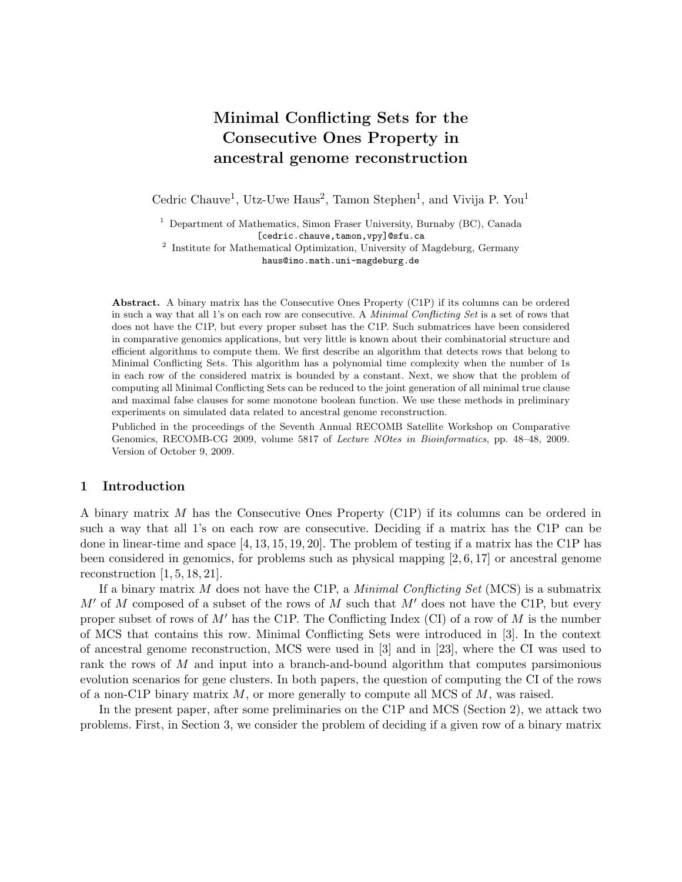# Minimal Conflicting Sets for the Consecutive Ones Property in ancestral genome reconstruction

Cedric Chauve<sup>1</sup>, Utz-Uwe Haus<sup>2</sup>, Tamon Stephen<sup>1</sup>, and Vivija P. You<sup>1</sup>

<sup>1</sup> Department of Mathematics, Simon Fraser University, Burnaby (BC), Canada [cedric.chauve,tamon, vpy]@sfu.ca

<sup>2</sup> Institute for Mathematical Optimization, University of Magdeburg, Germany haus@imo.math.uni-magdeburg.de

Abstract. A binary matrix has the Consecutive Ones Property (C1P) if its columns can be ordered in such a way that all 1's on each row are consecutive. A Minimal Conflicting Set is a set of rows that does not have the C1P, but every proper subset has the C1P. Such submatrices have been considered in comparative genomics applications, but very little is known about their combinatorial structure and efficient algorithms to compute them. We first describe an algorithm that detects rows that belong to Minimal Conflicting Sets. This algorithm has a polynomial time complexity when the number of 1s in each row of the considered matrix is bounded by a constant. Next, we show that the problem of computing all Minimal Conflicting Sets can be reduced to the joint generation of all minimal true clause and maximal false clauses for some monotone boolean function. We use these methods in preliminary experiments on simulated data related to ancestral genome reconstruction.

Publiched in the proceedings of the Seventh Annual RECOMB Satellite Workshop on Comparative Genomics, RECOMB-CG 2009, volume 5817 of Lecture NOtes in Bioinformatics, pp. 48–48, 2009. Version of October 9, 2009.

# 1 Introduction

A binary matrix M has the Consecutive Ones Property (C1P) if its columns can be ordered in such a way that all 1's on each row are consecutive. Deciding if a matrix has the C1P can be done in linear-time and space [4, 13, 15, 19, 20]. The problem of testing if a matrix has the C1P has been considered in genomics, for problems such as physical mapping [2, 6, 17] or ancestral genome reconstruction  $[1, 5, 18, 21]$ .

If a binary matrix M does not have the C1P, a *Minimal Conflicting Set* (MCS) is a submatrix  $M'$  of M composed of a subset of the rows of M such that  $M'$  does not have the C1P, but every proper subset of rows of  $M'$  has the C1P. The Conflicting Index (CI) of a row of M is the number of MCS that contains this row. Minimal Conflicting Sets were introduced in [3]. In the context of ancestral genome reconstruction, MCS were used in [3] and in [23], where the CI was used to rank the rows of M and input into a branch-and-bound algorithm that computes parsimonious evolution scenarios for gene clusters. In both papers, the question of computing the CI of the rows of a non-C1P binary matrix  $M$ , or more generally to compute all MCS of  $M$ , was raised.

In the present paper, after some preliminaries on the C1P and MCS (Section 2), we attack two problems. First, in Section 3, we consider the problem of deciding if a given row of a binary matrix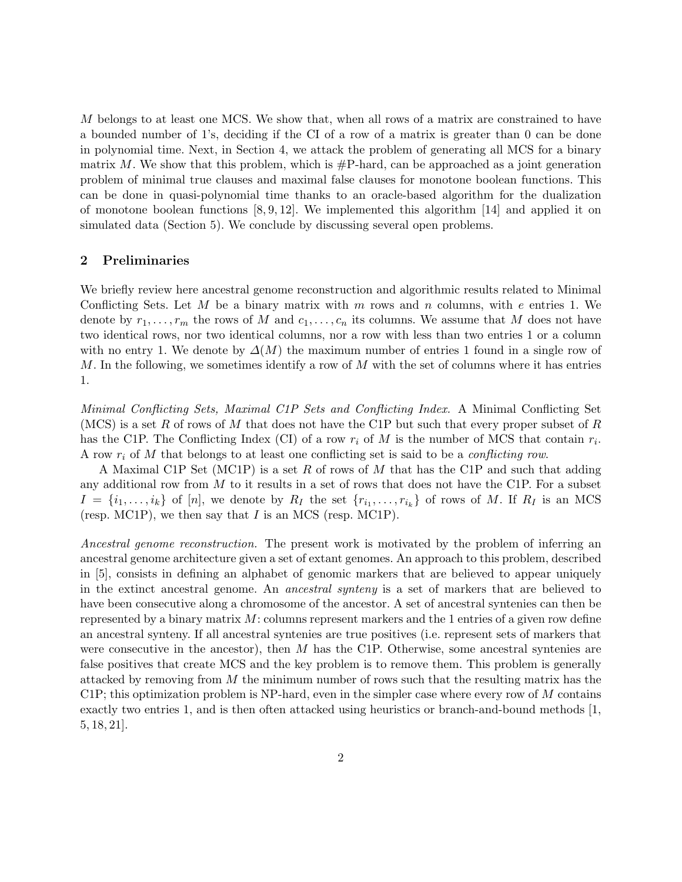M belongs to at least one MCS. We show that, when all rows of a matrix are constrained to have a bounded number of 1's, deciding if the CI of a row of a matrix is greater than 0 can be done in polynomial time. Next, in Section 4, we attack the problem of generating all MCS for a binary matrix  $M$ . We show that this problem, which is  $\#P$ -hard, can be approached as a joint generation problem of minimal true clauses and maximal false clauses for monotone boolean functions. This can be done in quasi-polynomial time thanks to an oracle-based algorithm for the dualization of monotone boolean functions  $[8, 9, 12]$ . We implemented this algorithm  $[14]$  and applied it on simulated data (Section 5). We conclude by discussing several open problems.

## 2 Preliminaries

We briefly review here ancestral genome reconstruction and algorithmic results related to Minimal Conflicting Sets. Let M be a binary matrix with  $m$  rows and  $n$  columns, with  $e$  entries 1. We denote by  $r_1, \ldots, r_m$  the rows of M and  $c_1, \ldots, c_n$  its columns. We assume that M does not have two identical rows, nor two identical columns, nor a row with less than two entries 1 or a column with no entry 1. We denote by  $\Delta(M)$  the maximum number of entries 1 found in a single row of  $M$ . In the following, we sometimes identify a row of  $M$  with the set of columns where it has entries 1.

Minimal Conflicting Sets, Maximal C1P Sets and Conflicting Index. A Minimal Conflicting Set (MCS) is a set R of rows of M that does not have the C1P but such that every proper subset of R has the C1P. The Conflicting Index (CI) of a row  $r_i$  of M is the number of MCS that contain  $r_i$ . A row  $r_i$  of M that belongs to at least one conflicting set is said to be a *conflicting row*.

A Maximal C1P Set (MC1P) is a set R of rows of M that has the C1P and such that adding any additional row from  $M$  to it results in a set of rows that does not have the C1P. For a subset  $I = \{i_1, \ldots, i_k\}$  of  $[n]$ , we denote by  $R_I$  the set  $\{r_{i_1}, \ldots, r_{i_k}\}$  of rows of M. If  $R_I$  is an MCS (resp. MC1P), we then say that I is an MCS (resp. MC1P).

Ancestral genome reconstruction. The present work is motivated by the problem of inferring an ancestral genome architecture given a set of extant genomes. An approach to this problem, described in [5], consists in defining an alphabet of genomic markers that are believed to appear uniquely in the extinct ancestral genome. An ancestral synteny is a set of markers that are believed to have been consecutive along a chromosome of the ancestor. A set of ancestral syntenies can then be represented by a binary matrix  $M$ : columns represent markers and the 1 entries of a given row define an ancestral synteny. If all ancestral syntenies are true positives (i.e. represent sets of markers that were consecutive in the ancestor), then  $M$  has the C1P. Otherwise, some ancestral syntenies are false positives that create MCS and the key problem is to remove them. This problem is generally attacked by removing from  $M$  the minimum number of rows such that the resulting matrix has the  $C1P$ ; this optimization problem is NP-hard, even in the simpler case where every row of M contains exactly two entries 1, and is then often attacked using heuristics or branch-and-bound methods [1, 5, 18, 21].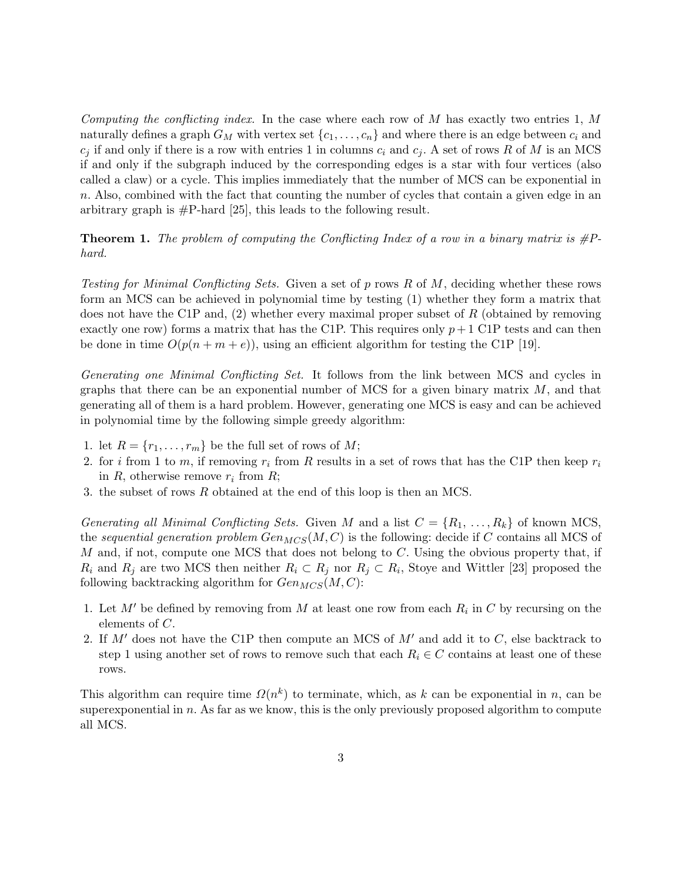Computing the conflicting index. In the case where each row of M has exactly two entries 1, M naturally defines a graph  $G_M$  with vertex set  $\{c_1, \ldots, c_n\}$  and where there is an edge between  $c_i$  and  $c_j$  if and only if there is a row with entries 1 in columns  $c_i$  and  $c_j$ . A set of rows R of M is an MCS if and only if the subgraph induced by the corresponding edges is a star with four vertices (also called a claw) or a cycle. This implies immediately that the number of MCS can be exponential in n. Also, combined with the fact that counting the number of cycles that contain a given edge in an arbitrary graph is #P-hard [25], this leads to the following result.

**Theorem 1.** The problem of computing the Conflicting Index of a row in a binary matrix is  $\#P$ hard.

Testing for Minimal Conflicting Sets. Given a set of p rows R of M, deciding whether these rows form an MCS can be achieved in polynomial time by testing (1) whether they form a matrix that does not have the C1P and, (2) whether every maximal proper subset of R (obtained by removing exactly one row) forms a matrix that has the C1P. This requires only  $p+1$  C1P tests and can then be done in time  $O(p(n+m+e))$ , using an efficient algorithm for testing the C1P [19].

Generating one Minimal Conflicting Set. It follows from the link between MCS and cycles in graphs that there can be an exponential number of MCS for a given binary matrix  $M$ , and that generating all of them is a hard problem. However, generating one MCS is easy and can be achieved in polynomial time by the following simple greedy algorithm:

- 1. let  $R = \{r_1, \ldots, r_m\}$  be the full set of rows of M;
- 2. for i from 1 to m, if removing  $r_i$  from R results in a set of rows that has the C1P then keep  $r_i$ in R, otherwise remove  $r_i$  from R;
- 3. the subset of rows R obtained at the end of this loop is then an MCS.

Generating all Minimal Conflicting Sets. Given M and a list  $C = \{R_1, \ldots, R_k\}$  of known MCS, the sequential generation problem  $Gen_{MCS}(M, C)$  is the following: decide if C contains all MCS of M and, if not, compute one MCS that does not belong to  $C$ . Using the obvious property that, if  $R_i$  and  $R_j$  are two MCS then neither  $R_i \subset R_j$  nor  $R_j \subset R_i$ , Stoye and Wittler [23] proposed the following backtracking algorithm for  $Gen_{MCS}(M, C)$ :

- 1. Let  $M'$  be defined by removing from M at least one row from each  $R_i$  in C by recursing on the elements of C.
- 2. If  $M'$  does not have the C1P then compute an MCS of  $M'$  and add it to  $C$ , else backtrack to step 1 using another set of rows to remove such that each  $R_i \in C$  contains at least one of these rows.

This algorithm can require time  $\Omega(n^k)$  to terminate, which, as k can be exponential in n, can be superexponential in  $n$ . As far as we know, this is the only previously proposed algorithm to compute all MCS.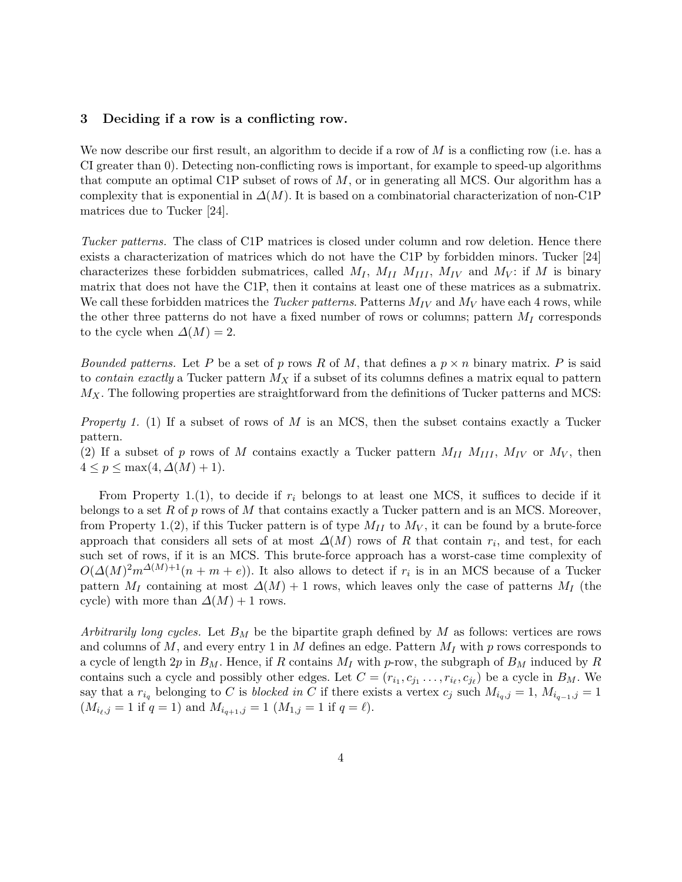# 3 Deciding if a row is a conflicting row.

We now describe our first result, an algorithm to decide if a row of  $M$  is a conflicting row (i.e. has a CI greater than 0). Detecting non-conflicting rows is important, for example to speed-up algorithms that compute an optimal C1P subset of rows of  $M$ , or in generating all MCS. Our algorithm has a complexity that is exponential in  $\Delta(M)$ . It is based on a combinatorial characterization of non-C1P matrices due to Tucker [24].

Tucker patterns. The class of C1P matrices is closed under column and row deletion. Hence there exists a characterization of matrices which do not have the C1P by forbidden minors. Tucker [24] characterizes these forbidden submatrices, called  $M_I$ ,  $M_{II}$   $M_{III}$ ,  $M_{IV}$  and  $M_V$ : if M is binary matrix that does not have the C1P, then it contains at least one of these matrices as a submatrix. We call these forbidden matrices the *Tucker patterns*. Patterns  $M_{IV}$  and  $M_{V}$  have each 4 rows, while the other three patterns do not have a fixed number of rows or columns; pattern  $M_I$  corresponds to the cycle when  $\Delta(M) = 2$ .

*Bounded patterns.* Let P be a set of p rows R of M, that defines a  $p \times n$  binary matrix. P is said to *contain exactly* a Tucker pattern  $M_X$  if a subset of its columns defines a matrix equal to pattern  $M_X$ . The following properties are straightforward from the definitions of Tucker patterns and MCS:

*Property 1.* (1) If a subset of rows of  $M$  is an MCS, then the subset contains exactly a Tucker pattern.

(2) If a subset of p rows of M contains exactly a Tucker pattern  $M_{II}$   $M_{III}$ ,  $M_{IV}$  or  $M_V$ , then  $4 \leq p \leq \max(4, \Delta(M) + 1).$ 

From Property 1.(1), to decide if  $r_i$  belongs to at least one MCS, it suffices to decide if it belongs to a set R of p rows of M that contains exactly a Tucker pattern and is an MCS. Moreover, from Property 1.(2), if this Tucker pattern is of type  $M_{II}$  to  $M_V$ , it can be found by a brute-force approach that considers all sets of at most  $\Delta(M)$  rows of R that contain  $r_i$ , and test, for each such set of rows, if it is an MCS. This brute-force approach has a worst-case time complexity of  $O(\Delta(M)^2 m^{\Delta(M)+1}(n+m+e))$ . It also allows to detect if  $r_i$  is in an MCS because of a Tucker pattern  $M_I$  containing at most  $\Delta(M) + 1$  rows, which leaves only the case of patterns  $M_I$  (the cycle) with more than  $\Delta(M) + 1$  rows.

Arbitrarily long cycles. Let  $B_M$  be the bipartite graph defined by M as follows: vertices are rows and columns of M, and every entry 1 in M defines an edge. Pattern  $M_I$  with p rows corresponds to a cycle of length 2p in  $B_M$ . Hence, if R contains  $M_I$  with p-row, the subgraph of  $B_M$  induced by R contains such a cycle and possibly other edges. Let  $C = (r_{i_1}, c_{j_1}, \ldots, r_{i_\ell}, c_{j_\ell})$  be a cycle in  $B_M$ . We say that a  $r_{i_q}$  belonging to C is blocked in C if there exists a vertex  $c_j$  such  $M_{i_q,j} = 1$ ,  $M_{i_{q-1},j} = 1$  $(M_{i_{\ell},j} = 1 \text{ if } q = 1) \text{ and } M_{i_{q+1},j} = 1 \ (M_{1,j} = 1 \text{ if } q = \ell).$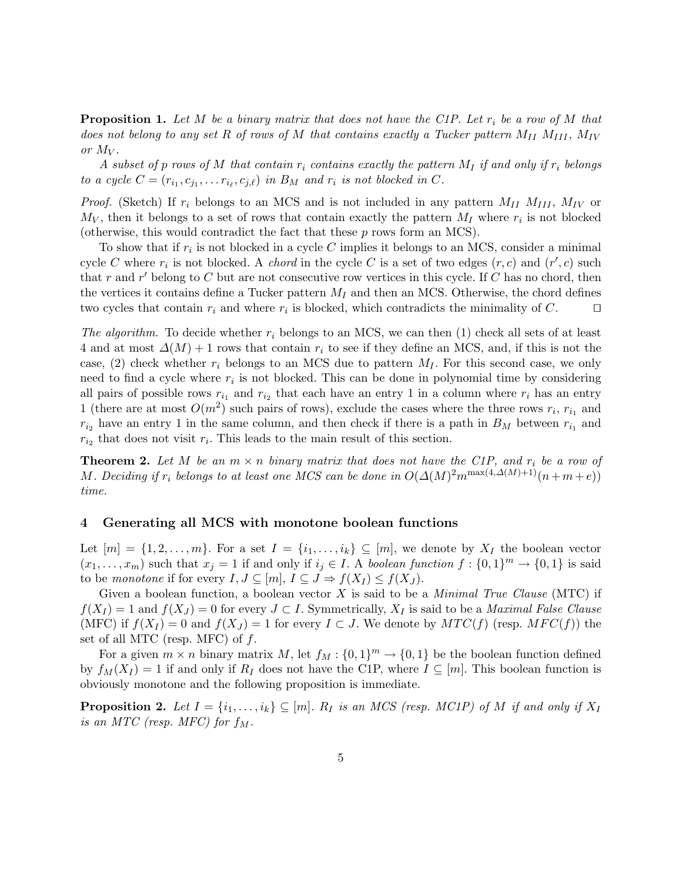**Proposition 1.** Let M be a binary matrix that does not have the C1P. Let  $r_i$  be a row of M that does not belong to any set R of rows of M that contains exactly a Tucker pattern  $M_{II}$   $M_{III}$ ,  $M_{IV}$ or  $M_V$ .

A subset of p rows of M that contain  $r_i$  contains exactly the pattern  $M_I$  if and only if  $r_i$  belongs to a cycle  $C = (r_{i_1}, c_{j_1}, \ldots r_{i_\ell}, c_{j,\ell})$  in  $B_M$  and  $r_i$  is not blocked in C.

*Proof.* (Sketch) If  $r_i$  belongs to an MCS and is not included in any pattern  $M_{II}$   $M_{III}$ ,  $M_{IV}$  or  $M_V$ , then it belongs to a set of rows that contain exactly the pattern  $M_I$  where  $r_i$  is not blocked (otherwise, this would contradict the fact that these p rows form an MCS).

To show that if  $r_i$  is not blocked in a cycle C implies it belongs to an MCS, consider a minimal cycle C where  $r_i$  is not blocked. A *chord* in the cycle C is a set of two edges  $(r, c)$  and  $(r', c)$  such that r and r' belong to C but are not consecutive row vertices in this cycle. If C has no chord, then the vertices it contains define a Tucker pattern  $M_I$  and then an MCS. Otherwise, the chord defines two cycles that contain  $r_i$  and where  $r_i$  is blocked, which contradicts the minimality of C.  $\Box$ 

The algorithm. To decide whether  $r_i$  belongs to an MCS, we can then (1) check all sets of at least 4 and at most  $\Delta(M) + 1$  rows that contain  $r_i$  to see if they define an MCS, and, if this is not the case, (2) check whether  $r_i$  belongs to an MCS due to pattern  $M_I$ . For this second case, we only need to find a cycle where  $r_i$  is not blocked. This can be done in polynomial time by considering all pairs of possible rows  $r_{i_1}$  and  $r_{i_2}$  that each have an entry 1 in a column where  $r_i$  has an entry 1 (there are at most  $O(m^2)$  such pairs of rows), exclude the cases where the three rows  $r_i$ ,  $r_{i_1}$  and  $r_{i_2}$  have an entry 1 in the same column, and then check if there is a path in  $B_M$  between  $r_{i_1}$  and  $r_{i_2}$  that does not visit  $r_i$ . This leads to the main result of this section.

**Theorem 2.** Let M be an  $m \times n$  binary matrix that does not have the C1P, and  $r_i$  be a row of M. Deciding if  $r_i$  belongs to at least one MCS can be done in  $O(\Delta(M)^2 m^{\max(4, \Delta(M)+1)}(n+m+e))$ time.

#### 4 Generating all MCS with monotone boolean functions

Let  $[m] = \{1, 2, \ldots, m\}$ . For a set  $I = \{i_1, \ldots, i_k\} \subseteq [m]$ , we denote by  $X_I$  the boolean vector  $(x_1, \ldots, x_m)$  such that  $x_j = 1$  if and only if  $i_j \in I$ . A boolean function  $f : \{0,1\}^m \to \{0,1\}$  is said to be monotone if for every  $I, J \subseteq [m], I \subseteq J \Rightarrow f(X_I) \le f(X_J)$ .

Given a boolean function, a boolean vector X is said to be a *Minimal True Clause* (MTC) if  $f(X_I) = 1$  and  $f(X_J) = 0$  for every  $J \subset I$ . Symmetrically,  $X_I$  is said to be a *Maximal False Clause* (MFC) if  $f(X_I) = 0$  and  $f(X_J) = 1$  for every  $I \subset J$ . We denote by  $MTC(f)$  (resp.  $MFC(f)$ ) the set of all MTC (resp. MFC) of  $f$ .

For a given  $m \times n$  binary matrix M, let  $f_M : \{0,1\}^m \to \{0,1\}$  be the boolean function defined by  $f_M(X_I) = 1$  if and only if  $R_I$  does not have the C1P, where  $I \subseteq [m]$ . This boolean function is obviously monotone and the following proposition is immediate.

**Proposition 2.** Let  $I = \{i_1, \ldots, i_k\} \subseteq [m]$ .  $R_I$  is an MCS (resp. MC1P) of M if and only if  $X_I$ is an MTC (resp. MFC) for  $f_M$ .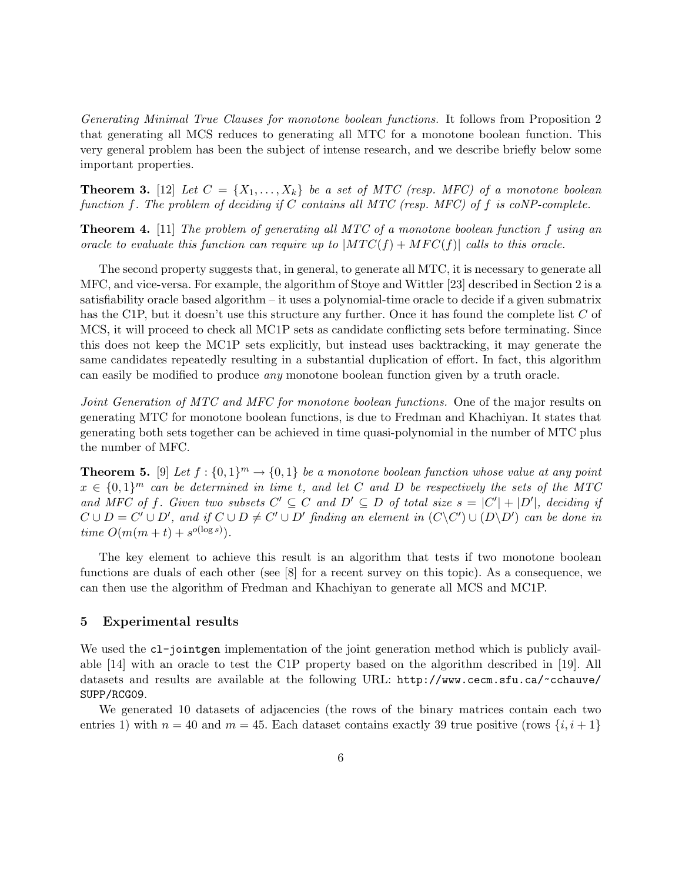Generating Minimal True Clauses for monotone boolean functions. It follows from Proposition 2 that generating all MCS reduces to generating all MTC for a monotone boolean function. This very general problem has been the subject of intense research, and we describe briefly below some important properties.

**Theorem 3.** [12] Let  $C = \{X_1, \ldots, X_k\}$  be a set of MTC (resp. MFC) of a monotone boolean function f. The problem of deciding if C contains all MTC (resp. MFC) of f is coNP-complete.

Theorem 4. [11] The problem of generating all MTC of a monotone boolean function f using an oracle to evaluate this function can require up to  $|MTC(f) + MFC(f)|$  calls to this oracle.

The second property suggests that, in general, to generate all MTC, it is necessary to generate all MFC, and vice-versa. For example, the algorithm of Stoye and Wittler [23] described in Section 2 is a satisfiability oracle based algorithm – it uses a polynomial-time oracle to decide if a given submatrix has the C1P, but it doesn't use this structure any further. Once it has found the complete list C of MCS, it will proceed to check all MC1P sets as candidate conflicting sets before terminating. Since this does not keep the MC1P sets explicitly, but instead uses backtracking, it may generate the same candidates repeatedly resulting in a substantial duplication of effort. In fact, this algorithm can easily be modified to produce any monotone boolean function given by a truth oracle.

Joint Generation of MTC and MFC for monotone boolean functions. One of the major results on generating MTC for monotone boolean functions, is due to Fredman and Khachiyan. It states that generating both sets together can be achieved in time quasi-polynomial in the number of MTC plus the number of MFC.

**Theorem 5.** [9] Let  $f: \{0,1\}^m \to \{0,1\}$  be a monotone boolean function whose value at any point  $x \in \{0,1\}^m$  can be determined in time t, and let C and D be respectively the sets of the MTC and MFC of f. Given two subsets  $C' \subseteq C$  and  $D' \subseteq D$  of total size  $s = |C'| + |D'|$ , deciding if  $C \cup D = C' \cup D'$ , and if  $C \cup D \neq C' \cup D'$  finding an element in  $(C \setminus C') \cup (D \setminus D')$  can be done in time  $O(m(m+t) + s^{o(\log s)})$ .

The key element to achieve this result is an algorithm that tests if two monotone boolean functions are duals of each other (see [8] for a recent survey on this topic). As a consequence, we can then use the algorithm of Fredman and Khachiyan to generate all MCS and MC1P.

## 5 Experimental results

We used the c1-joint generation of the joint generation method which is publicly available [14] with an oracle to test the C1P property based on the algorithm described in [19]. All datasets and results are available at the following URL: http://www.cecm.sfu.ca/~cchauve/ SUPP/RCG09.

We generated 10 datasets of adjacencies (the rows of the binary matrices contain each two entries 1) with  $n = 40$  and  $m = 45$ . Each dataset contains exactly 39 true positive (rows  $\{i, i+1\}$ )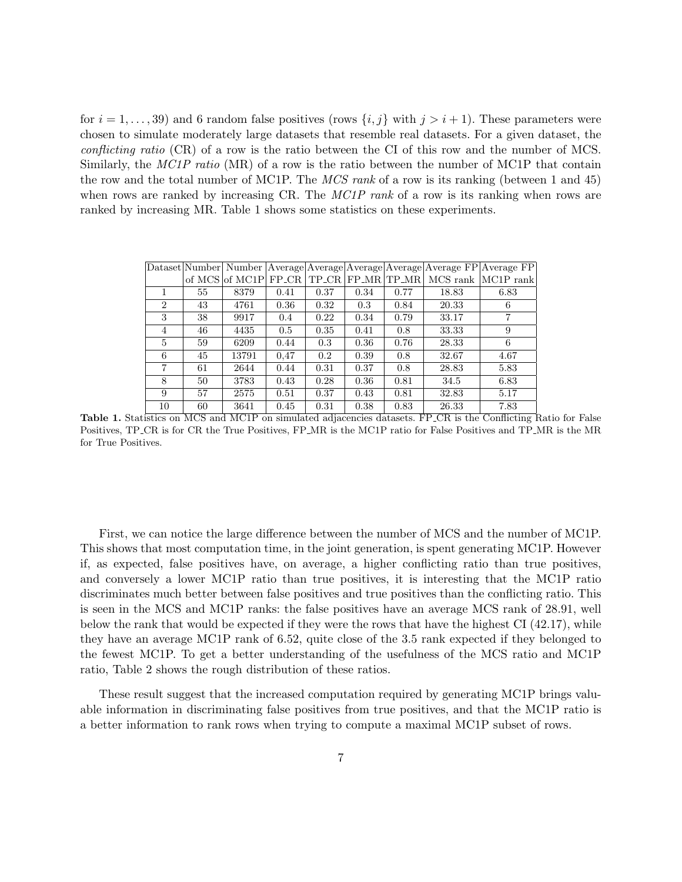for  $i = 1, \ldots, 39$  and 6 random false positives (rows  $\{i, j\}$  with  $j > i + 1$ ). These parameters were chosen to simulate moderately large datasets that resemble real datasets. For a given dataset, the conflicting ratio (CR) of a row is the ratio between the CI of this row and the number of MCS. Similarly, the MC1P ratio (MR) of a row is the ratio between the number of MC1P that contain the row and the total number of MC1P. The *MCS rank* of a row is its ranking (between 1 and 45) when rows are ranked by increasing CR. The MC1P rank of a row is its ranking when rows are ranked by increasing MR. Table 1 shows some statistics on these experiments.

|                |    |                      |      |      |      |      |       | Dataset Number Number Average Average Average Average Average FP Average FP |
|----------------|----|----------------------|------|------|------|------|-------|-----------------------------------------------------------------------------|
|                |    | of MCS of MC1P FP_CR |      |      |      |      |       | $TP_CR$ $FP_MR$ $TP_MR$ $MCS$ rank $MCIP$ rank                              |
|                | 55 | 8379                 | 0.41 | 0.37 | 0.34 | 0.77 | 18.83 | 6.83                                                                        |
| $\overline{2}$ | 43 | 4761                 | 0.36 | 0.32 | 0.3  | 0.84 | 20.33 | 6                                                                           |
| 3              | 38 | 9917                 | 0.4  | 0.22 | 0.34 | 0.79 | 33.17 | 7                                                                           |
| 4              | 46 | 4435                 | 0.5  | 0.35 | 0.41 | 0.8  | 33.33 | 9                                                                           |
| 5              | 59 | 6209                 | 0.44 | 0.3  | 0.36 | 0.76 | 28.33 | 6                                                                           |
| 6              | 45 | 13791                | 0.47 | 0.2  | 0.39 | 0.8  | 32.67 | 4.67                                                                        |
| 7              | 61 | 2644                 | 0.44 | 0.31 | 0.37 | 0.8  | 28.83 | 5.83                                                                        |
| 8              | 50 | 3783                 | 0.43 | 0.28 | 0.36 | 0.81 | 34.5  | 6.83                                                                        |
| 9              | 57 | 2575                 | 0.51 | 0.37 | 0.43 | 0.81 | 32.83 | 5.17                                                                        |
| 10             | 60 | 3641                 | 0.45 | 0.31 | 0.38 | 0.83 | 26.33 | 7.83                                                                        |

Table 1. Statistics on MCS and MC1P on simulated adjacencies datasets. FP CR is the Conflicting Ratio for False Positives, TP CR is for CR the True Positives, FP MR is the MC1P ratio for False Positives and TP MR is the MR for True Positives.

First, we can notice the large difference between the number of MCS and the number of MC1P. This shows that most computation time, in the joint generation, is spent generating MC1P. However if, as expected, false positives have, on average, a higher conflicting ratio than true positives, and conversely a lower MC1P ratio than true positives, it is interesting that the MC1P ratio discriminates much better between false positives and true positives than the conflicting ratio. This is seen in the MCS and MC1P ranks: the false positives have an average MCS rank of 28.91, well below the rank that would be expected if they were the rows that have the highest CI (42.17), while they have an average MC1P rank of 6.52, quite close of the 3.5 rank expected if they belonged to the fewest MC1P. To get a better understanding of the usefulness of the MCS ratio and MC1P ratio, Table 2 shows the rough distribution of these ratios.

These result suggest that the increased computation required by generating MC1P brings valuable information in discriminating false positives from true positives, and that the MC1P ratio is a better information to rank rows when trying to compute a maximal MC1P subset of rows.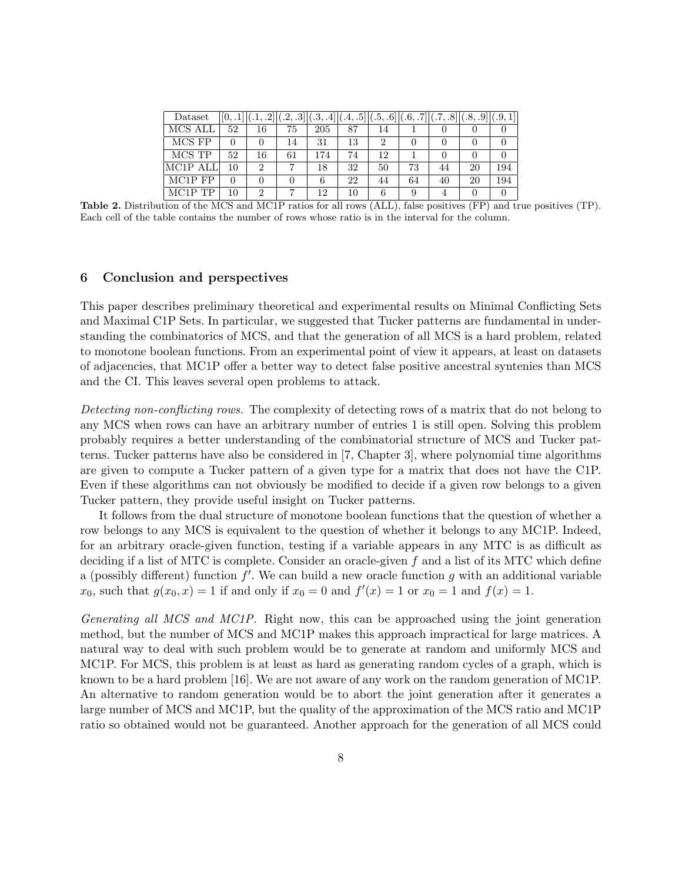| Dataset              |    | [.1, .2] | (0.2, .3) | (.3, .4] | $[(.4, .5]   (.5, .6]   (.6, .7]   (.7, .8]$ |    |    |    | (.8, .9) (.9, 1 |     |
|----------------------|----|----------|-----------|----------|----------------------------------------------|----|----|----|-----------------|-----|
| MCS ALL              | 52 | 16       | 75        | 205      | 87                                           | 14 |    |    |                 |     |
| MCS FP               |    |          | 14        | 31       | 13                                           | 2  |    |    |                 |     |
| MCS TP               | 52 | 16       | 61        | 174      | 74                                           | 12 |    |    |                 |     |
| MC1P ALL             | 10 | 2        |           | 18       | 32                                           | 50 | 73 | 44 | 20              | 194 |
| MC1P FP              |    |          |           | 6        | 22                                           | 44 | 64 | 40 | 20              | 194 |
| MC <sub>1</sub> P TP | 10 | 2        |           | 12       | 10                                           | 6  |    |    |                 |     |

Table 2. Distribution of the MCS and MC1P ratios for all rows (ALL), false positives (FP) and true positives (TP). Each cell of the table contains the number of rows whose ratio is in the interval for the column.

## 6 Conclusion and perspectives

This paper describes preliminary theoretical and experimental results on Minimal Conflicting Sets and Maximal C1P Sets. In particular, we suggested that Tucker patterns are fundamental in understanding the combinatorics of MCS, and that the generation of all MCS is a hard problem, related to monotone boolean functions. From an experimental point of view it appears, at least on datasets of adjacencies, that MC1P offer a better way to detect false positive ancestral syntenies than MCS and the CI. This leaves several open problems to attack.

Detecting non-conflicting rows. The complexity of detecting rows of a matrix that do not belong to any MCS when rows can have an arbitrary number of entries 1 is still open. Solving this problem probably requires a better understanding of the combinatorial structure of MCS and Tucker patterns. Tucker patterns have also be considered in [7, Chapter 3], where polynomial time algorithms are given to compute a Tucker pattern of a given type for a matrix that does not have the C1P. Even if these algorithms can not obviously be modified to decide if a given row belongs to a given Tucker pattern, they provide useful insight on Tucker patterns.

It follows from the dual structure of monotone boolean functions that the question of whether a row belongs to any MCS is equivalent to the question of whether it belongs to any MC1P. Indeed, for an arbitrary oracle-given function, testing if a variable appears in any MTC is as difficult as deciding if a list of MTC is complete. Consider an oracle-given f and a list of its MTC which define a (possibly different) function  $f'$ . We can build a new oracle function g with an additional variable  $x_0$ , such that  $g(x_0, x) = 1$  if and only if  $x_0 = 0$  and  $f'(x) = 1$  or  $x_0 = 1$  and  $f(x) = 1$ .

Generating all MCS and MC1P. Right now, this can be approached using the joint generation method, but the number of MCS and MC1P makes this approach impractical for large matrices. A natural way to deal with such problem would be to generate at random and uniformly MCS and MC1P. For MCS, this problem is at least as hard as generating random cycles of a graph, which is known to be a hard problem [16]. We are not aware of any work on the random generation of MC1P. An alternative to random generation would be to abort the joint generation after it generates a large number of MCS and MC1P, but the quality of the approximation of the MCS ratio and MC1P ratio so obtained would not be guaranteed. Another approach for the generation of all MCS could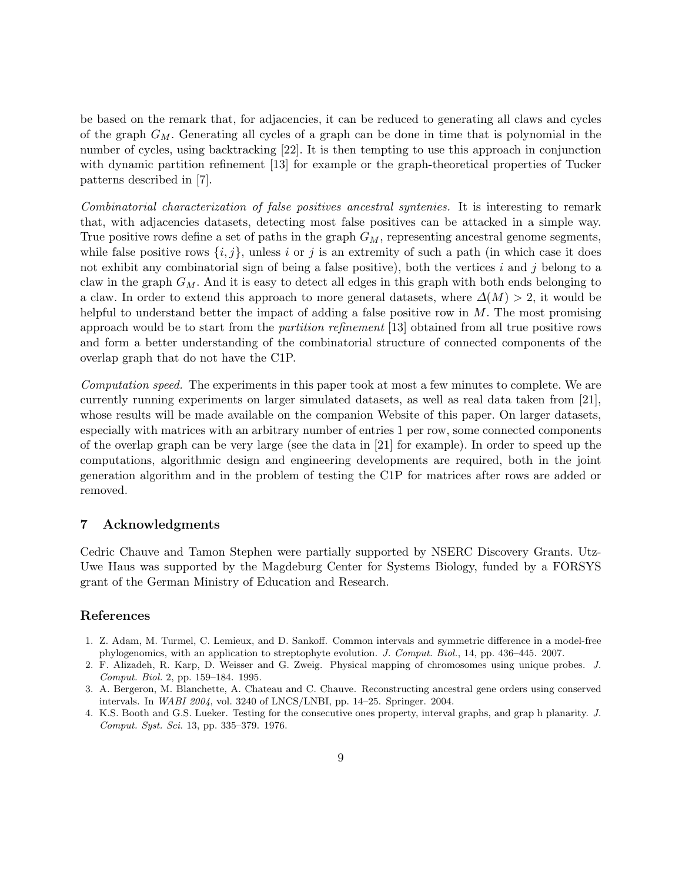be based on the remark that, for adjacencies, it can be reduced to generating all claws and cycles of the graph  $G_M$ . Generating all cycles of a graph can be done in time that is polynomial in the number of cycles, using backtracking [22]. It is then tempting to use this approach in conjunction with dynamic partition refinement [13] for example or the graph-theoretical properties of Tucker patterns described in [7].

Combinatorial characterization of false positives ancestral syntenies. It is interesting to remark that, with adjacencies datasets, detecting most false positives can be attacked in a simple way. True positive rows define a set of paths in the graph  $G_M$ , representing ancestral genome segments, while false positive rows  $\{i, j\}$ , unless i or j is an extremity of such a path (in which case it does not exhibit any combinatorial sign of being a false positive), both the vertices i and j belong to a claw in the graph  $G_M$ . And it is easy to detect all edges in this graph with both ends belonging to a claw. In order to extend this approach to more general datasets, where  $\Delta(M) > 2$ , it would be helpful to understand better the impact of adding a false positive row in  $M$ . The most promising approach would be to start from the partition refinement [13] obtained from all true positive rows and form a better understanding of the combinatorial structure of connected components of the overlap graph that do not have the C1P.

Computation speed. The experiments in this paper took at most a few minutes to complete. We are currently running experiments on larger simulated datasets, as well as real data taken from [21], whose results will be made available on the companion Website of this paper. On larger datasets, especially with matrices with an arbitrary number of entries 1 per row, some connected components of the overlap graph can be very large (see the data in [21] for example). In order to speed up the computations, algorithmic design and engineering developments are required, both in the joint generation algorithm and in the problem of testing the C1P for matrices after rows are added or removed.

# 7 Acknowledgments

Cedric Chauve and Tamon Stephen were partially supported by NSERC Discovery Grants. Utz-Uwe Haus was supported by the Magdeburg Center for Systems Biology, funded by a FORSYS grant of the German Ministry of Education and Research.

## References

- 1. Z. Adam, M. Turmel, C. Lemieux, and D. Sankoff. Common intervals and symmetric difference in a model-free phylogenomics, with an application to streptophyte evolution. J. Comput. Biol., 14, pp. 436–445. 2007.
- 2. F. Alizadeh, R. Karp, D. Weisser and G. Zweig. Physical mapping of chromosomes using unique probes. J. Comput. Biol. 2, pp. 159–184. 1995.
- 3. A. Bergeron, M. Blanchette, A. Chateau and C. Chauve. Reconstructing ancestral gene orders using conserved intervals. In WABI 2004, vol. 3240 of LNCS/LNBI, pp. 14–25. Springer. 2004.
- 4. K.S. Booth and G.S. Lueker. Testing for the consecutive ones property, interval graphs, and grap h planarity. J. Comput. Syst. Sci. 13, pp. 335–379. 1976.